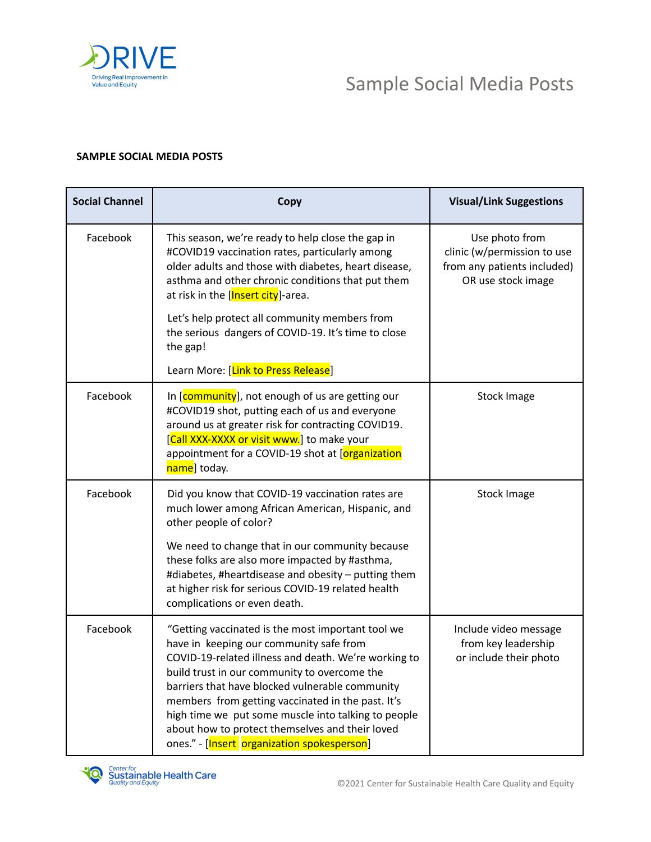

## Sample Social Media Posts

## **SAMPLE SOCIAL MEDIA POSTS**

| <b>Social Channel</b> | Copy                                                                                                                                                                                                                                                                                                                                                                                                                                                                  | <b>Visual/Link Suggestions</b>                                                                     |
|-----------------------|-----------------------------------------------------------------------------------------------------------------------------------------------------------------------------------------------------------------------------------------------------------------------------------------------------------------------------------------------------------------------------------------------------------------------------------------------------------------------|----------------------------------------------------------------------------------------------------|
| Facebook              | This season, we're ready to help close the gap in<br>#COVID19 vaccination rates, particularly among<br>older adults and those with diabetes, heart disease,<br>asthma and other chronic conditions that put them<br>at risk in the [Insert city]-area.<br>Let's help protect all community members from<br>the serious dangers of COVID-19. It's time to close<br>the gap!<br>Learn More: [Link to Press Release]                                                     | Use photo from<br>clinic (w/permission to use<br>from any patients included)<br>OR use stock image |
| Facebook              | In [community], not enough of us are getting our<br>#COVID19 shot, putting each of us and everyone<br>around us at greater risk for contracting COVID19.<br>[Call XXX-XXXX or visit www.] to make your<br>appointment for a COVID-19 shot at [organization<br>name] today.                                                                                                                                                                                            | <b>Stock Image</b>                                                                                 |
| Facebook              | Did you know that COVID-19 vaccination rates are<br>much lower among African American, Hispanic, and<br>other people of color?<br>We need to change that in our community because<br>these folks are also more impacted by #asthma,<br>#diabetes, #heartdisease and obesity - putting them<br>at higher risk for serious COVID-19 related health<br>complications or even death.                                                                                      | <b>Stock Image</b>                                                                                 |
| Facebook              | "Getting vaccinated is the most important tool we<br>have in keeping our community safe from<br>COVID-19-related illness and death. We're working to<br>build trust in our community to overcome the<br>barriers that have blocked vulnerable community<br>members from getting vaccinated in the past. It's<br>high time we put some muscle into talking to people<br>about how to protect themselves and their loved<br>ones." - [Insert organization spokesperson] | Include video message<br>from key leadership<br>or include their photo                             |

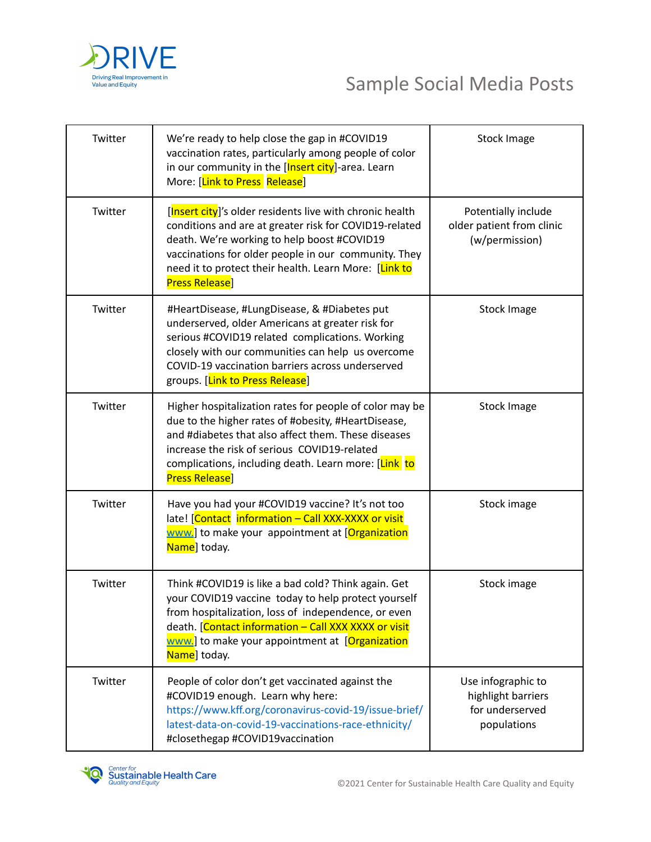

| Twitter | We're ready to help close the gap in #COVID19<br>vaccination rates, particularly among people of color<br>in our community in the [Insert city]-area. Learn<br>More: [Link to Press Release]                                                                                                                 | <b>Stock Image</b>                                                         |
|---------|--------------------------------------------------------------------------------------------------------------------------------------------------------------------------------------------------------------------------------------------------------------------------------------------------------------|----------------------------------------------------------------------------|
| Twitter | [Insert city]'s older residents live with chronic health<br>conditions and are at greater risk for COVID19-related<br>death. We're working to help boost #COVID19<br>vaccinations for older people in our community. They<br>need it to protect their health. Learn More: [Link to<br><b>Press Release</b> ] | Potentially include<br>older patient from clinic<br>(w/permission)         |
| Twitter | #HeartDisease, #LungDisease, & #Diabetes put<br>underserved, older Americans at greater risk for<br>serious #COVID19 related complications. Working<br>closely with our communities can help us overcome<br>COVID-19 vaccination barriers across underserved<br>groups. [Link to Press Release]              | <b>Stock Image</b>                                                         |
| Twitter | Higher hospitalization rates for people of color may be<br>due to the higher rates of #obesity, #HeartDisease,<br>and #diabetes that also affect them. These diseases<br>increase the risk of serious COVID19-related<br>complications, including death. Learn more: [Link to<br><b>Press Release</b> ]      | <b>Stock Image</b>                                                         |
| Twitter | Have you had your #COVID19 vaccine? It's not too<br>late! [Contact information - Call XXX-XXXX or visit<br>www.] to make your appointment at [Organization]<br>Name] today.                                                                                                                                  | Stock image                                                                |
| Twitter | Think #COVID19 is like a bad cold? Think again. Get<br>your COVID19 vaccine today to help protect yourself<br>from hospitalization, loss of independence, or even<br>death. [Contact information - Call XXX XXXX or visit<br>www.] to make your appointment at [Organization<br>Name] today.                 | Stock image                                                                |
| Twitter | People of color don't get vaccinated against the<br>#COVID19 enough. Learn why here:<br>https://www.kff.org/coronavirus-covid-19/issue-brief/<br>latest-data-on-covid-19-vaccinations-race-ethnicity/<br>#closethegap #COVID19vaccination                                                                    | Use infographic to<br>highlight barriers<br>for underserved<br>populations |